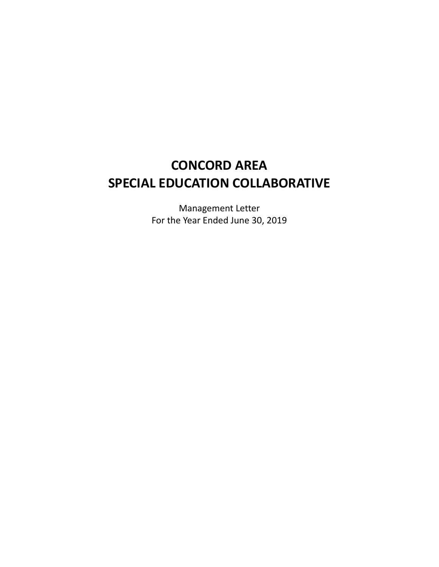# **CONCORD AREA SPECIAL EDUCATION COLLABORATIVE**

Management Letter For the Year Ended June 30, 2019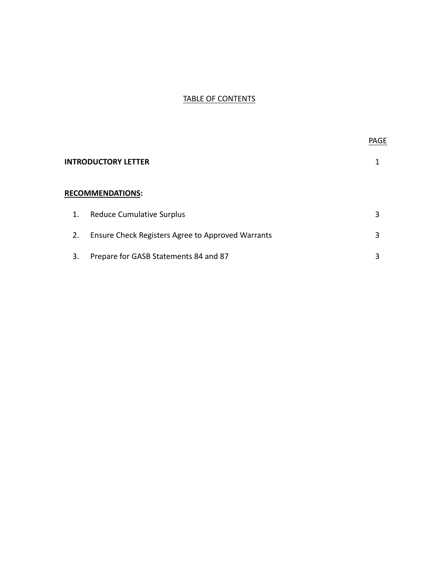# TABLE OF CONTENTS

|                         |                                                   | <b>PAGE</b> |
|-------------------------|---------------------------------------------------|-------------|
|                         | <b>INTRODUCTORY LETTER</b>                        |             |
| <b>RECOMMENDATIONS:</b> |                                                   |             |
| 1.                      | <b>Reduce Cumulative Surplus</b>                  | 3           |
| 2.                      | Ensure Check Registers Agree to Approved Warrants | 3           |
| 3.                      | Prepare for GASB Statements 84 and 87             | 3           |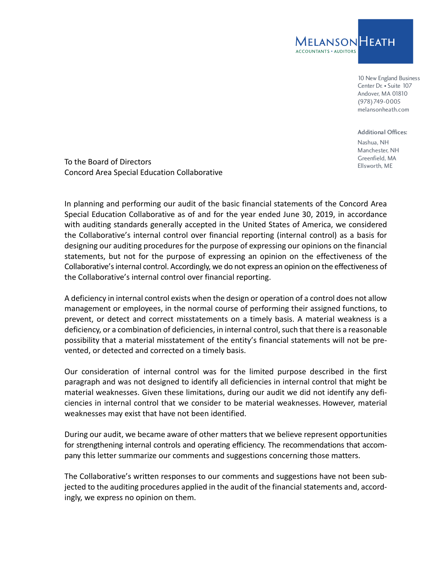

10 New England Business Center Dr. • Suite 107 Andover, MA 01810 (978)749-0005 melansonheath.com

Additional Offices: Nashua, NH Manchester, NH Greenfield, MA

To the Board of Directors<br>
Ellsworth, ME Concord Area Special Education Collaborative

In planning and performing our audit of the basic financial statements of the Concord Area Special Education Collaborative as of and for the year ended June 30, 2019, in accordance with auditing standards generally accepted in the United States of America, we considered the Collaborative's internal control over financial reporting (internal control) as a basis for designing our auditing procedures for the purpose of expressing our opinions on the financial statements, but not for the purpose of expressing an opinion on the effectiveness of the Collaborative's internal control. Accordingly, we do not express an opinion on the effectiveness of the Collaborative's internal control over financial reporting.

A deficiency in internal control exists when the design or operation of a control does not allow management or employees, in the normal course of performing their assigned functions, to prevent, or detect and correct misstatements on a timely basis. A material weakness is a deficiency, or a combination of deficiencies, in internal control, such that there is a reasonable possibility that a material misstatement of the entity's financial statements will not be pre‐ vented, or detected and corrected on a timely basis.

Our consideration of internal control was for the limited purpose described in the first paragraph and was not designed to identify all deficiencies in internal control that might be material weaknesses. Given these limitations, during our audit we did not identify any defi‐ ciencies in internal control that we consider to be material weaknesses. However, material weaknesses may exist that have not been identified.

During our audit, we became aware of other matters that we believe represent opportunities for strengthening internal controls and operating efficiency. The recommendations that accompany this letter summarize our comments and suggestions concerning those matters.

The Collaborative's written responses to our comments and suggestions have not been sub‐ jected to the auditing procedures applied in the audit of the financial statements and, accord‐ ingly, we express no opinion on them.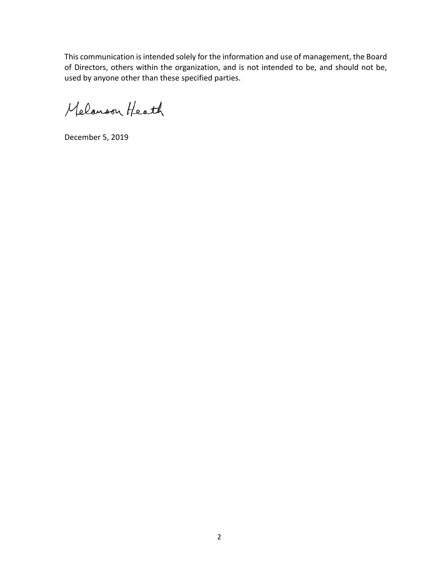This communication is intended solely for the information and use of management, the Board of Directors, others within the organization, and is not intended to be, and should not be, used by anyone other than these specified parties.

Melanoon Heath

December 5, 2019